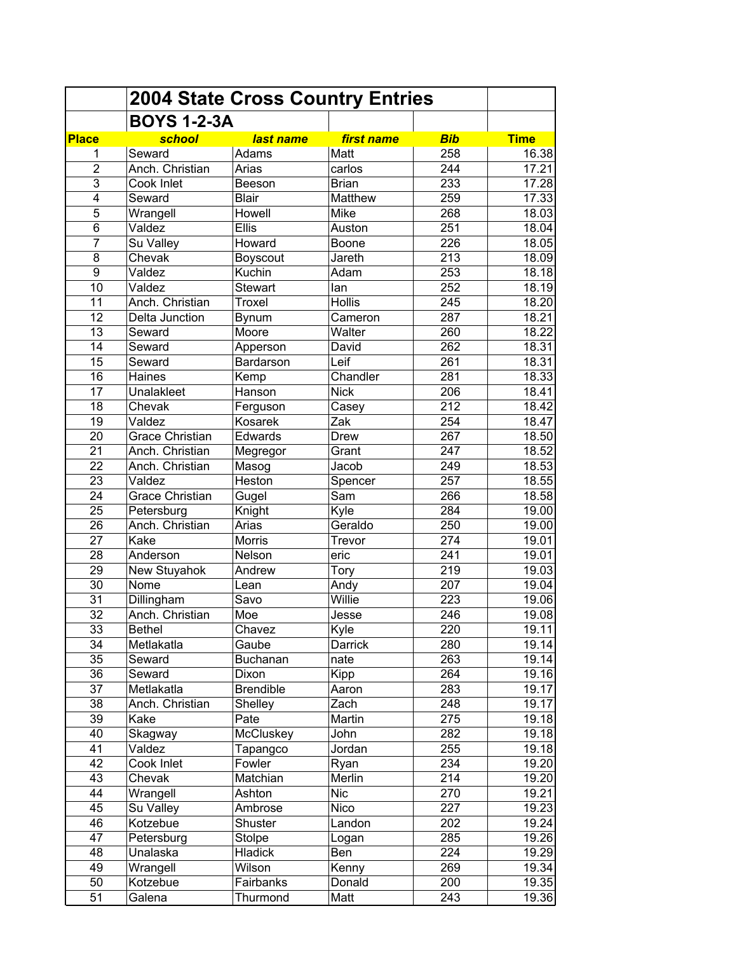|                         | <b>2004 State Cross Country Entries</b> |                  |                |                  |             |
|-------------------------|-----------------------------------------|------------------|----------------|------------------|-------------|
|                         | <b>BOYS 1-2-3A</b>                      |                  |                |                  |             |
| <b>Place</b>            | school                                  | last name        | first name     | <b>Bib</b>       | <b>Time</b> |
| 1                       | Seward                                  | Adams            | Matt           | 258              | 16.38       |
| $\overline{2}$          | Anch. Christian                         | Arias            | carlos         | 244              | 17.21       |
| 3                       | Cook Inlet                              | Beeson           | <b>Brian</b>   | 233              | 17.28       |
| $\overline{\mathbf{4}}$ | Seward                                  | <b>Blair</b>     | <b>Matthew</b> | 259              | 17.33       |
| 5                       | Wrangell                                | Howell           | Mike           | 268              | 18.03       |
| 6                       | Valdez                                  | <b>Ellis</b>     | Auston         | 251              | 18.04       |
| $\overline{7}$          | Su Valley                               | Howard           | Boone          | 226              | 18.05       |
| 8                       | Chevak                                  | Boyscout         | Jareth         | 213              | 18.09       |
| 9                       | Valdez                                  | Kuchin           | Adam           | 253              | 18.18       |
| 10                      | Valdez                                  | <b>Stewart</b>   | lan            | 252              | 18.19       |
| 11                      | Anch. Christian                         | Troxel           | <b>Hollis</b>  | 245              | 18.20       |
| 12                      | Delta Junction                          | Bynum            | Cameron        | 287              | 18.21       |
| 13                      | Seward                                  | Moore            | Walter         | 260              | 18.22       |
| 14                      | Seward                                  | Apperson         | David          | 262              | 18.31       |
| 15                      | Seward                                  | Bardarson        | Leif           | 261              | 18.31       |
| 16                      | Haines                                  | Kemp             | Chandler       | 281              | 18.33       |
| 17                      | Unalakleet                              | Hanson           | <b>Nick</b>    | 206              | 18.41       |
| 18                      | Chevak                                  | Ferguson         | Casey          | $\overline{212}$ | 18.42       |
| 19                      | Valdez                                  | <b>Kosarek</b>   | Zak            | 254              | 18.47       |
| 20                      | <b>Grace Christian</b>                  | Edwards          | Drew           | 267              | 18.50       |
| $\overline{21}$         | Anch. Christian                         | Megregor         | Grant          | 247              | 18.52       |
| $\overline{22}$         | Anch. Christian                         | Masog            | Jacob          | 249              | 18.53       |
| $\overline{23}$         | Valdez                                  | Heston           | Spencer        | 257              | 18.55       |
| 24                      | <b>Grace Christian</b>                  | Gugel            | Sam            | 266              | 18.58       |
| 25                      | Petersburg                              | Knight           | Kyle           | 284              | 19.00       |
| 26                      | Anch. Christian                         | Arias            | Geraldo        | 250              | 19.00       |
| 27                      | Kake                                    | <b>Morris</b>    | Trevor         | 274              | 19.01       |
| 28                      | Anderson                                | Nelson           | eric           | 241              | 19.01       |
| 29                      | New Stuyahok                            | Andrew           | Tory           | 219              | 19.03       |
| 30                      | Nome                                    | Lean             | Andy           | 207              | 19.04       |
| 31                      | Dillingham                              | Savo             | Willie         | 223              | 19.06       |
| 32                      | Anch. Christian                         | Moe              | Jesse          | 246              | 19.08       |
| 33                      | <b>Bethel</b>                           | Chavez           | Kyle           | 220              | 19.11       |
| 34                      | Metlakatla                              | Gaube            | Darrick        | 280              | 19.14       |
| 35                      | Seward                                  | <b>Buchanan</b>  | nate           | 263              | 19.14       |
| 36                      | Seward                                  | Dixon            | Kipp           | 264              | 19.16       |
| 37                      | Metlakatla                              | <b>Brendible</b> | Aaron          | 283              | 19.17       |
| 38                      | Anch. Christian                         | Shelley          | Zach           | 248              | 19.17       |
| 39                      | Kake                                    | Pate             | Martin         | 275              | 19.18       |
| 40                      | Skagway                                 | McCluskey        | John           | 282              | 19.18       |
| 41                      | Valdez                                  | Tapangco         | Jordan         | 255              | 19.18       |
| 42                      | Cook Inlet                              | Fowler           | Ryan           | 234              | 19.20       |
| 43                      | Chevak                                  | Matchian         | Merlin         | 214              | 19.20       |
| 44                      | Wrangell                                | Ashton           | <b>Nic</b>     | 270              | 19.21       |
| 45                      | Su Valley                               | Ambrose          | Nico           | 227              | 19.23       |
| 46                      | Kotzebue                                | Shuster          | Landon         | 202              | 19.24       |
| 47                      | Petersburg                              | Stolpe           |                | 285              | 19.26       |
|                         | <b>Unalaska</b>                         | Hladick          | Logan          | 224              |             |
| 48                      |                                         |                  | Ben            |                  | 19.29       |
| 49                      | Wrangell                                | Wilson           | Kenny          | 269              | 19.34       |
| 50                      | Kotzebue                                | Fairbanks        | Donald         | 200              | 19.35       |
| 51                      | Galena                                  | Thurmond         | Matt           | 243              | 19.36       |